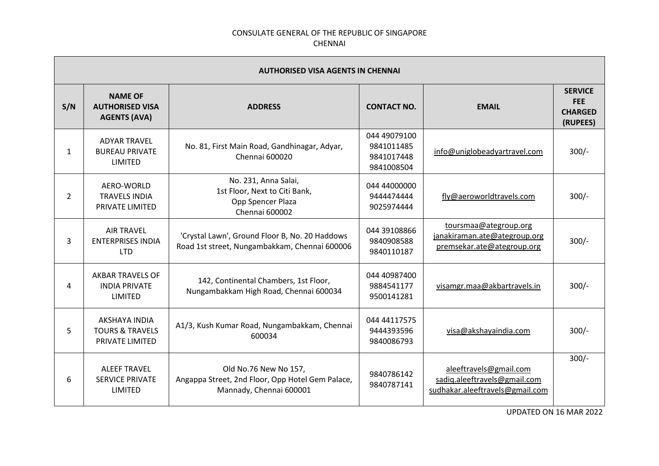| <b>AUTHORISED VISA AGENTS IN CHENNAI</b> |                                                                       |                                                                                                      |                                                        |                                                                                           |                                                            |
|------------------------------------------|-----------------------------------------------------------------------|------------------------------------------------------------------------------------------------------|--------------------------------------------------------|-------------------------------------------------------------------------------------------|------------------------------------------------------------|
| S/N                                      | <b>NAME OF</b><br><b>AUTHORISED VISA</b><br><b>AGENTS (AVA)</b>       | <b>ADDRESS</b>                                                                                       | <b>CONTACT NO.</b>                                     | <b>EMAIL</b>                                                                              | <b>SERVICE</b><br><b>FEE</b><br><b>CHARGED</b><br>(RUPEES) |
| 1                                        | <b>ADYAR TRAVEL</b><br><b>BUREAU PRIVATE</b><br><b>LIMITED</b>        | No. 81, First Main Road, Gandhinagar, Adyar,<br>Chennai 600020                                       | 044 49079100<br>9841011485<br>9841017448<br>9841008504 | info@uniglobeadyartravel.com                                                              | $300/-$                                                    |
| 2                                        | AERO-WORLD<br><b>TRAVELS INDIA</b><br>PRIVATE LIMITED                 | No. 231, Anna Salai,<br>1st Floor, Next to Citi Bank,<br>Opp Spencer Plaza<br>Chennai 600002         | 044 44000000<br>9444474444<br>9025974444               | fly@aeroworldtravels.com                                                                  | $300/-$                                                    |
| 3                                        | <b>AIR TRAVEL</b><br><b>ENTERPRISES INDIA</b><br><b>LTD</b>           | 'Crystal Lawn', Ground Floor B, No. 20 Haddows<br>Road 1st street, Nungambakkam, Chennai 600006      | 044 39108866<br>9840908588<br>9840110187               | toursmaa@ategroup.org<br>janakiraman.ate@ategroup.org<br>premsekar.ate@ategroup.org       | $300/-$                                                    |
| 4                                        | <b>AKBAR TRAVELS OF</b><br><b>INDIA PRIVATE</b><br><b>LIMITED</b>     | 142, Continental Chambers, 1st Floor,<br>Nungambakkam High Road, Chennai 600034                      | 044 40987400<br>9884541177<br>9500141281               | visamgr.maa@akbartravels.in                                                               | $300/-$                                                    |
| 5.                                       | AKSHAYA INDIA<br><b>TOURS &amp; TRAVELS</b><br><b>PRIVATE LIMITED</b> | A1/3, Kush Kumar Road, Nungambakkam, Chennai<br>600034                                               | 044 44117575<br>9444393596<br>9840086793               | visa@akshayaindia.com                                                                     | $300/-$                                                    |
| 6                                        | <b>ALEEF TRAVEL</b><br><b>SERVICE PRIVATE</b><br>LIMITED              | Old No.76 New No 157,<br>Angappa Street, 2nd Floor, Opp Hotel Gem Palace,<br>Mannady, Chennai 600001 | 9840786142<br>9840787141                               | aleeftravels@gmail.com<br>sadiq.aleeftravels@gmail.com<br>sudhakar.aleeftravels@gmail.com | $300/-$                                                    |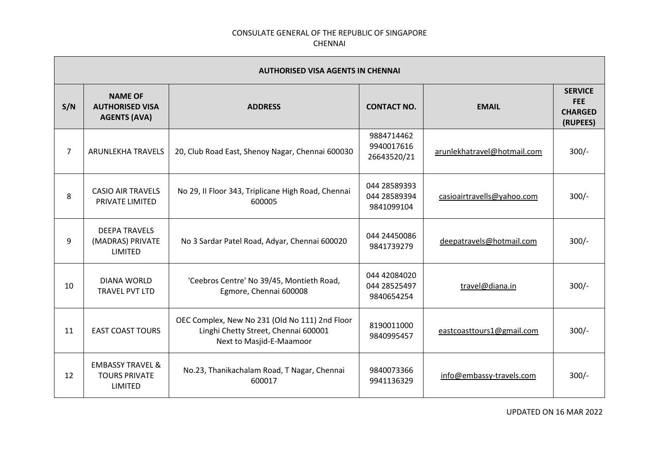| <b>AUTHORISED VISA AGENTS IN CHENNAI</b> |                                                                       |                                                                                                                    |                                            |                             |                                                            |
|------------------------------------------|-----------------------------------------------------------------------|--------------------------------------------------------------------------------------------------------------------|--------------------------------------------|-----------------------------|------------------------------------------------------------|
| S/N                                      | <b>NAME OF</b><br><b>AUTHORISED VISA</b><br><b>AGENTS (AVA)</b>       | <b>ADDRESS</b>                                                                                                     | <b>CONTACT NO.</b>                         | <b>EMAIL</b>                | <b>SERVICE</b><br><b>FEE</b><br><b>CHARGED</b><br>(RUPEES) |
| $\overline{7}$                           | ARUNLEKHA TRAVELS                                                     | 20, Club Road East, Shenoy Nagar, Chennai 600030                                                                   | 9884714462<br>9940017616<br>26643520/21    | arunlekhatravel@hotmail.com | $300/-$                                                    |
| 8                                        | <b>CASIO AIR TRAVELS</b><br>PRIVATE LIMITED                           | No 29, II Floor 343, Triplicane High Road, Chennai<br>600005                                                       | 044 28589393<br>044 28589394<br>9841099104 | casioairtravells@yahoo.com  | $300/-$                                                    |
| 9                                        | <b>DEEPA TRAVELS</b><br>(MADRAS) PRIVATE<br><b>LIMITED</b>            | No 3 Sardar Patel Road, Adyar, Chennai 600020                                                                      | 044 24450086<br>9841739279                 | deepatravels@hotmail.com    | $300/-$                                                    |
| 10                                       | <b>DIANA WORLD</b><br>TRAVEL PVT LTD                                  | 'Ceebros Centre' No 39/45, Montieth Road,<br>Egmore, Chennai 600008                                                | 044 42084020<br>044 28525497<br>9840654254 | travel@diana.in             | $300/-$                                                    |
| 11                                       | <b>EAST COAST TOURS</b>                                               | OEC Complex, New No 231 (Old No 111) 2nd Floor<br>Linghi Chetty Street, Chennai 600001<br>Next to Masjid-E-Maamoor | 8190011000<br>9840995457                   | eastcoasttours1@gmail.com   | $300/-$                                                    |
| 12                                       | <b>EMBASSY TRAVEL &amp;</b><br><b>TOURS PRIVATE</b><br><b>LIMITED</b> | No.23, Thanikachalam Road, T Nagar, Chennai<br>600017                                                              | 9840073366<br>9941136329                   | info@embassy-travels.com    | $300/-$                                                    |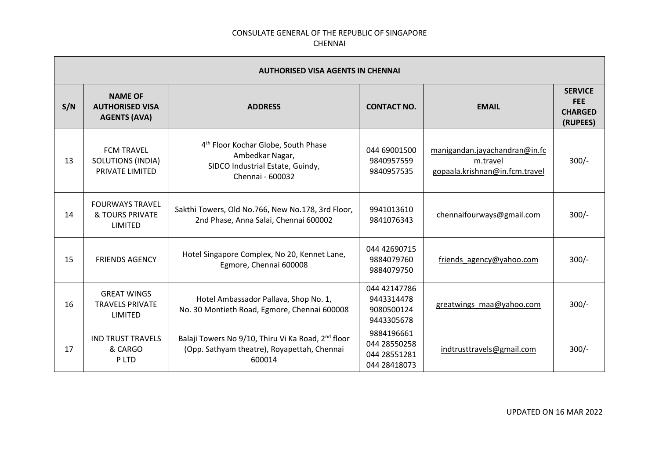| <b>AUTHORISED VISA AGENTS IN CHENNAI</b> |                                                                  |                                                                                                                            |                                                            |                                                                             |                                                            |
|------------------------------------------|------------------------------------------------------------------|----------------------------------------------------------------------------------------------------------------------------|------------------------------------------------------------|-----------------------------------------------------------------------------|------------------------------------------------------------|
| S/N                                      | <b>NAME OF</b><br><b>AUTHORISED VISA</b><br><b>AGENTS (AVA)</b>  | <b>ADDRESS</b>                                                                                                             | <b>CONTACT NO.</b>                                         | <b>EMAIL</b>                                                                | <b>SERVICE</b><br><b>FEE</b><br><b>CHARGED</b><br>(RUPEES) |
| 13                                       | <b>FCM TRAVEL</b><br><b>SOLUTIONS (INDIA)</b><br>PRIVATE LIMITED | 4 <sup>th</sup> Floor Kochar Globe, South Phase<br>Ambedkar Nagar,<br>SIDCO Industrial Estate, Guindy,<br>Chennai - 600032 | 044 69001500<br>9840957559<br>9840957535                   | manigandan.jayachandran@in.fc<br>m.travel<br>gopaala.krishnan@in.fcm.travel | $300/-$                                                    |
| 14                                       | <b>FOURWAYS TRAVEL</b><br><b>&amp; TOURS PRIVATE</b><br>LIMITED  | Sakthi Towers, Old No.766, New No.178, 3rd Floor,<br>2nd Phase, Anna Salai, Chennai 600002                                 | 9941013610<br>9841076343                                   | chennaifourways@gmail.com                                                   | $300/-$                                                    |
| 15                                       | <b>FRIENDS AGENCY</b>                                            | Hotel Singapore Complex, No 20, Kennet Lane,<br>Egmore, Chennai 600008                                                     | 044 42690715<br>9884079760<br>9884079750                   | friends agency@yahoo.com                                                    | $300/-$                                                    |
| 16                                       | <b>GREAT WINGS</b><br><b>TRAVELS PRIVATE</b><br>LIMITED          | Hotel Ambassador Pallava, Shop No. 1,<br>No. 30 Montieth Road, Egmore, Chennai 600008                                      | 044 42147786<br>9443314478<br>9080500124<br>9443305678     | greatwings maa@yahoo.com                                                    | $300/-$                                                    |
| 17                                       | <b>IND TRUST TRAVELS</b><br>& CARGO<br>P LTD                     | Balaji Towers No 9/10, Thiru Vi Ka Road, 2 <sup>nd</sup> floor<br>(Opp. Sathyam theatre), Royapettah, Chennai<br>600014    | 9884196661<br>044 28550258<br>044 28551281<br>044 28418073 | indtrusttravels@gmail.com                                                   | $300/-$                                                    |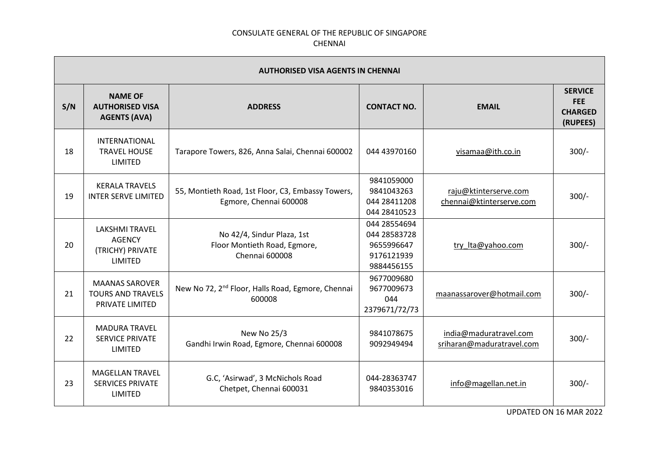| <b>AUTHORISED VISA AGENTS IN CHENNAI</b> |                                                                              |                                                                              |                                                                        |                                                     |                                                            |
|------------------------------------------|------------------------------------------------------------------------------|------------------------------------------------------------------------------|------------------------------------------------------------------------|-----------------------------------------------------|------------------------------------------------------------|
| S/N                                      | <b>NAME OF</b><br><b>AUTHORISED VISA</b><br><b>AGENTS (AVA)</b>              | <b>ADDRESS</b>                                                               | <b>CONTACT NO.</b>                                                     | <b>EMAIL</b>                                        | <b>SERVICE</b><br><b>FEE</b><br><b>CHARGED</b><br>(RUPEES) |
| 18                                       | <b>INTERNATIONAL</b><br><b>TRAVEL HOUSE</b><br><b>LIMITED</b>                | Tarapore Towers, 826, Anna Salai, Chennai 600002                             | 044 43970160                                                           | visamaa@ith.co.in                                   | $300/-$                                                    |
| 19                                       | <b>KERALA TRAVELS</b><br><b>INTER SERVE LIMITED</b>                          | 55, Montieth Road, 1st Floor, C3, Embassy Towers,<br>Egmore, Chennai 600008  | 9841059000<br>9841043263<br>044 28411208<br>044 28410523               | raju@ktinterserve.com<br>chennai@ktinterserve.com   | $300/-$                                                    |
| 20                                       | <b>LAKSHMI TRAVEL</b><br><b>AGENCY</b><br>(TRICHY) PRIVATE<br><b>LIMITED</b> | No 42/4, Sindur Plaza, 1st<br>Floor Montieth Road, Egmore,<br>Chennai 600008 | 044 28554694<br>044 28583728<br>9655996647<br>9176121939<br>9884456155 | try Ita@yahoo.com                                   | $300/-$                                                    |
| 21                                       | <b>MAANAS SAROVER</b><br><b>TOURS AND TRAVELS</b><br>PRIVATE LIMITED         | New No 72, 2 <sup>nd</sup> Floor, Halls Road, Egmore, Chennai<br>600008      | 9677009680<br>9677009673<br>044<br>2379671/72/73                       | maanassarover@hotmail.com                           | $300/-$                                                    |
| 22                                       | <b>MADURA TRAVEL</b><br><b>SERVICE PRIVATE</b><br>LIMITED                    | New No 25/3<br>Gandhi Irwin Road, Egmore, Chennai 600008                     | 9841078675<br>9092949494                                               | india@maduratravel.com<br>sriharan@maduratravel.com | $300/-$                                                    |
| 23                                       | <b>MAGELLAN TRAVEL</b><br><b>SERVICES PRIVATE</b><br><b>LIMITED</b>          | G.C, 'Asirwad', 3 McNichols Road<br>Chetpet, Chennai 600031                  | 044-28363747<br>9840353016                                             | info@magellan.net.in                                | $300/-$                                                    |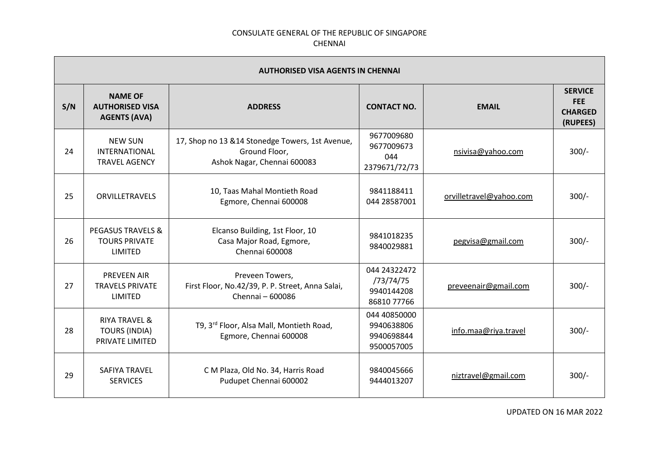| <b>AUTHORISED VISA AGENTS IN CHENNAI</b> |                                                                            |                                                                                                  |                                                        |                         |                                                            |
|------------------------------------------|----------------------------------------------------------------------------|--------------------------------------------------------------------------------------------------|--------------------------------------------------------|-------------------------|------------------------------------------------------------|
| S/N                                      | <b>NAME OF</b><br><b>AUTHORISED VISA</b><br><b>AGENTS (AVA)</b>            | <b>ADDRESS</b>                                                                                   | <b>CONTACT NO.</b>                                     | <b>EMAIL</b>            | <b>SERVICE</b><br><b>FEE</b><br><b>CHARGED</b><br>(RUPEES) |
| 24                                       | <b>NEW SUN</b><br>INTERNATIONAL<br><b>TRAVEL AGENCY</b>                    | 17, Shop no 13 & 14 Stonedge Towers, 1st Avenue,<br>Ground Floor,<br>Ashok Nagar, Chennai 600083 | 9677009680<br>9677009673<br>044<br>2379671/72/73       | nsivisa@yahoo.com       | $300/-$                                                    |
| 25                                       | <b>ORVILLETRAVELS</b>                                                      | 10, Taas Mahal Montieth Road<br>Egmore, Chennai 600008                                           | 9841188411<br>044 28587001                             | orvilletravel@yahoo.com | $300/-$                                                    |
| 26                                       | <b>PEGASUS TRAVELS &amp;</b><br><b>TOURS PRIVATE</b><br><b>LIMITED</b>     | Elcanso Building, 1st Floor, 10<br>Casa Major Road, Egmore,<br>Chennai 600008                    | 9841018235<br>9840029881                               | pegvisa@gmail.com       | $300/-$                                                    |
| 27                                       | <b>PREVEEN AIR</b><br><b>TRAVELS PRIVATE</b><br>LIMITED                    | Preveen Towers,<br>First Floor, No.42/39, P. P. Street, Anna Salai,<br>Chennai - 600086          | 044 24322472<br>/73/74/75<br>9940144208<br>86810 77766 | preveenair@gmail.com    | $300/-$                                                    |
| 28                                       | <b>RIYA TRAVEL &amp;</b><br><b>TOURS (INDIA)</b><br><b>PRIVATE LIMITED</b> | T9, 3 <sup>rd</sup> Floor, Alsa Mall, Montieth Road,<br>Egmore, Chennai 600008                   | 044 40850000<br>9940638806<br>9940698844<br>9500057005 | info.maa@riya.travel    | $300/-$                                                    |
| 29                                       | <b>SAFIYA TRAVEL</b><br><b>SERVICES</b>                                    | C M Plaza, Old No. 34, Harris Road<br>Pudupet Chennai 600002                                     | 9840045666<br>9444013207                               | niztravel@gmail.com     | $300/-$                                                    |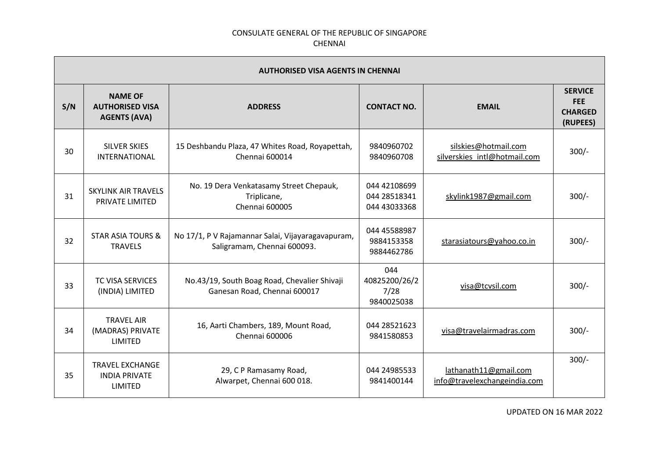| <b>AUTHORISED VISA AGENTS IN CHENNAI</b> |                                                                  |                                                                                  |                                              |                                                       |                                                            |
|------------------------------------------|------------------------------------------------------------------|----------------------------------------------------------------------------------|----------------------------------------------|-------------------------------------------------------|------------------------------------------------------------|
| S/N                                      | <b>NAME OF</b><br><b>AUTHORISED VISA</b><br><b>AGENTS (AVA)</b>  | <b>ADDRESS</b>                                                                   | <b>CONTACT NO.</b>                           | <b>EMAIL</b>                                          | <b>SERVICE</b><br><b>FEE</b><br><b>CHARGED</b><br>(RUPEES) |
| 30                                       | <b>SILVER SKIES</b><br>INTERNATIONAL                             | 15 Deshbandu Plaza, 47 Whites Road, Royapettah,<br>Chennai 600014                | 9840960702<br>9840960708                     | silskies@hotmail.com<br>silverskies intl@hotmail.com  | $300/-$                                                    |
| 31                                       | <b>SKYLINK AIR TRAVELS</b><br>PRIVATE LIMITED                    | No. 19 Dera Venkatasamy Street Chepauk,<br>Triplicane,<br><b>Chennai 600005</b>  | 044 42108699<br>044 28518341<br>044 43033368 | skylink1987@gmail.com                                 | $300/-$                                                    |
| 32                                       | <b>STAR ASIA TOURS &amp;</b><br><b>TRAVELS</b>                   | No 17/1, P V Rajamannar Salai, Vijayaragavapuram,<br>Saligramam, Chennai 600093. | 044 45588987<br>9884153358<br>9884462786     | starasiatours@yahoo.co.in                             | $300/-$                                                    |
| 33                                       | <b>TC VISA SERVICES</b><br>(INDIA) LIMITED                       | No.43/19, South Boag Road, Chevalier Shivaji<br>Ganesan Road, Chennai 600017     | 044<br>40825200/26/2<br>7/28<br>9840025038   | visa@tcvsil.com                                       | $300/-$                                                    |
| 34                                       | <b>TRAVEL AIR</b><br>(MADRAS) PRIVATE<br>LIMITED                 | 16, Aarti Chambers, 189, Mount Road,<br>Chennai 600006                           | 044 28521623<br>9841580853                   | visa@travelairmadras.com                              | $300/-$                                                    |
| 35                                       | <b>TRAVEL EXCHANGE</b><br><b>INDIA PRIVATE</b><br><b>LIMITED</b> | 29, C P Ramasamy Road,<br>Alwarpet, Chennai 600 018.                             | 044 24985533<br>9841400144                   | lathanath11@gmail.com<br>info@travelexchangeindia.com | $300/-$                                                    |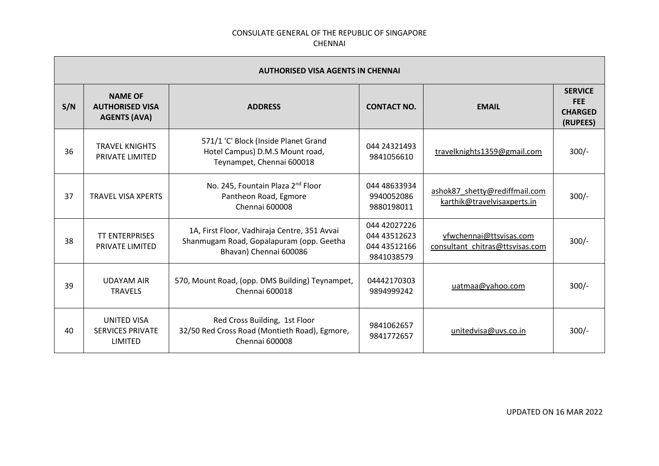| <b>AUTHORISED VISA AGENTS IN CHENNAI</b> |                                                                 |                                                                                                                    |                                                            |                                                              |                                                            |
|------------------------------------------|-----------------------------------------------------------------|--------------------------------------------------------------------------------------------------------------------|------------------------------------------------------------|--------------------------------------------------------------|------------------------------------------------------------|
| S/N                                      | <b>NAME OF</b><br><b>AUTHORISED VISA</b><br><b>AGENTS (AVA)</b> | <b>ADDRESS</b>                                                                                                     | <b>CONTACT NO.</b>                                         | <b>EMAIL</b>                                                 | <b>SERVICE</b><br><b>FEE</b><br><b>CHARGED</b><br>(RUPEES) |
| 36                                       | <b>TRAVEL KNIGHTS</b><br>PRIVATE LIMITED                        | 571/1 'C' Block (Inside Planet Grand<br>Hotel Campus) D.M.S Mount road,<br>Teynampet, Chennai 600018               | 044 24321493<br>9841056610                                 | travelknights1359@gmail.com                                  | $300/-$                                                    |
| 37                                       | <b>TRAVEL VISA XPERTS</b>                                       | No. 245, Fountain Plaza 2 <sup>nd</sup> Floor<br>Pantheon Road, Egmore<br>Chennai 600008                           | 044 48633934<br>9940052086<br>9880198011                   | ashok87 shetty@rediffmail.com<br>karthik@travelvisaxperts.in | $300/-$                                                    |
| 38                                       | <b>TT ENTERPRISES</b><br>PRIVATE LIMITED                        | 1A, First Floor, Vadhiraja Centre, 351 Avvai<br>Shanmugam Road, Gopalapuram (opp. Geetha<br>Bhavan) Chennai 600086 | 044 42027226<br>044 43512623<br>044 43512166<br>9841038579 | vfwchennai@ttsvisas.com<br>consultant_chitras@ttsvisas.com   | $300/-$                                                    |
| 39                                       | <b>UDAYAM AIR</b><br><b>TRAVELS</b>                             | 570, Mount Road, (opp. DMS Building) Teynampet,<br>Chennai 600018                                                  | 04442170303<br>9894999242                                  | uatmaa@yahoo.com                                             | $300/-$                                                    |
| 40                                       | <b>UNITED VISA</b><br><b>SERVICES PRIVATE</b><br>LIMITED        | Red Cross Building, 1st Floor<br>32/50 Red Cross Road (Montieth Road), Egmore,<br>Chennai 600008                   | 9841062657<br>9841772657                                   | unitedvisa@uvs.co.in                                         | $300/-$                                                    |